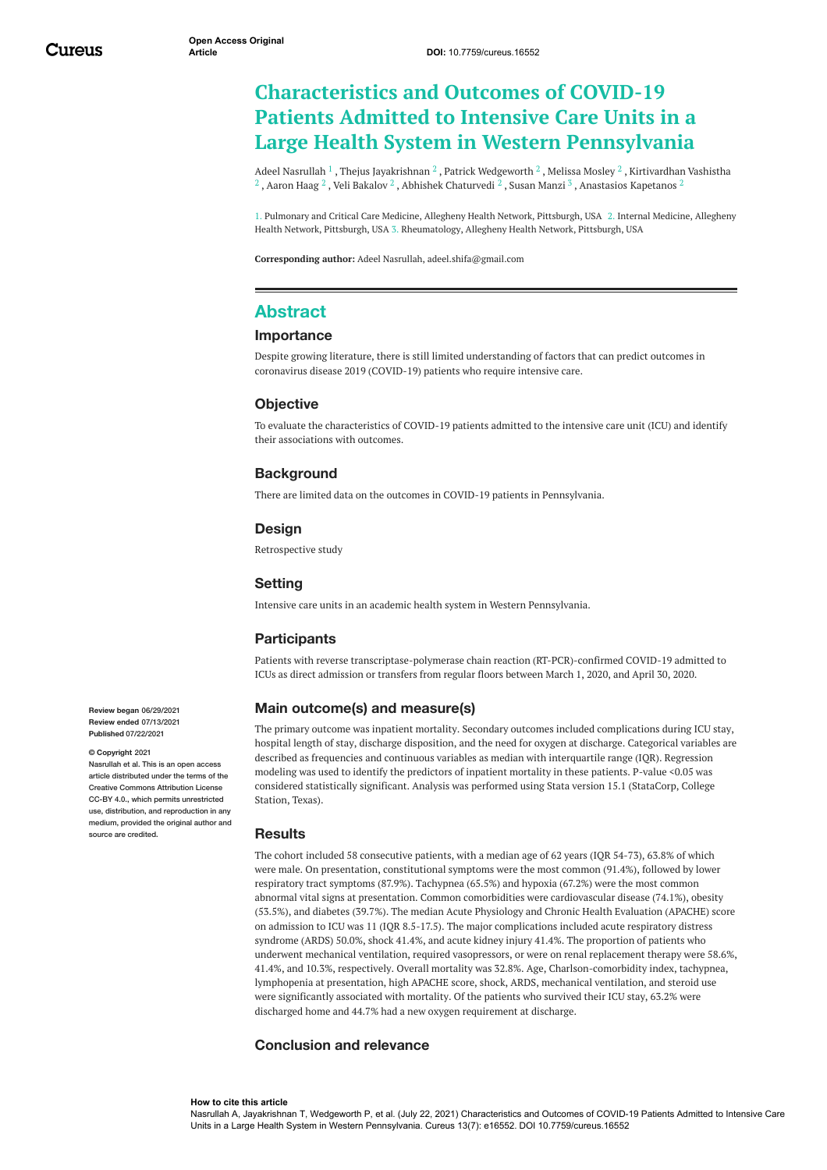# **Characteristics and Outcomes of COVID-19 Patients Admitted to Intensive Care Units in a Large Health System in Western Pennsylvania**

Adeel [Nasrullah](https://www.cureus.com/users/34485-adeel-nasrullah)  $^1$  , Thejus [Jayakrishnan](https://www.cureus.com/users/136465-thejus-jayakrishnan)  $^2$  , Patrick [Wedgeworth](https://www.cureus.com/users/259263-patrick-wedgeworth)  $^2$  , [Melissa](https://www.cureus.com/users/105413-melissa-mosley) Mosley  $^2$  , Kirtivardhan Vashistha  $^2$  , [Aaron](https://www.cureus.com/users/175759-aaron-haag) Haag  $^2$  , Veli [Bakalov](https://www.cureus.com/users/121398-veli-bakalov)  $^2$  , Abhishek [Chaturvedi](https://www.cureus.com/users/106306-abhishek-chaturvedi)  $^2$  , Susan [Manzi](https://www.cureus.com/users/259266-susan-manzi)  $^3$  , [Anastasios](https://www.cureus.com/users/259267-anastasios-kapetanos-) Kapetanos  $^2$ 

1. Pulmonary and Critical Care Medicine, Allegheny Health Network, Pittsburgh, USA 2. Internal Medicine, Allegheny Health Network, Pittsburgh, USA 3. Rheumatology, Allegheny Health Network, Pittsburgh, USA

**Corresponding author:** Adeel Nasrullah, adeel.shifa@gmail.com

## **Abstract**

### **Importance**

Despite growing literature, there is still limited understanding of factors that can predict outcomes in coronavirus disease 2019 (COVID-19) patients who require intensive care.

#### **Objective**

To evaluate the characteristics of COVID-19 patients admitted to the intensive care unit (ICU) and identify their associations with outcomes.

## **Background**

There are limited data on the outcomes in COVID-19 patients in Pennsylvania.

### **Design**

Retrospective study

### **Setting**

Intensive care units in an academic health system in Western Pennsylvania.

### **Participants**

Patients with reverse transcriptase-polymerase chain reaction (RT-PCR)-confirmed COVID-19 admitted to ICUs as direct admission or transfers from regular floors between March 1, 2020, and April 30, 2020.

### **Main outcome(s) and measure(s)**

The primary outcome was inpatient mortality. Secondary outcomes included complications during ICU stay, hospital length of stay, discharge disposition, and the need for oxygen at discharge. Categorical variables are described as frequencies and continuous variables as median with interquartile range (IQR). Regression modeling was used to identify the predictors of inpatient mortality in these patients. P-value <0.05 was considered statistically significant. Analysis was performed using Stata version 15.1 (StataCorp, College Station, Texas).

#### **Results**

The cohort included 58 consecutive patients, with a median age of 62 years (IQR 54-73), 63.8% of which were male. On presentation, constitutional symptoms were the most common (91.4%), followed by lower respiratory tract symptoms (87.9%). Tachypnea (65.5%) and hypoxia (67.2%) were the most common abnormal vital signs at presentation. Common comorbidities were cardiovascular disease (74.1%), obesity (53.5%), and diabetes (39.7%). The median Acute Physiology and Chronic Health Evaluation (APACHE) score on admission to ICU was 11 (IQR 8.5-17.5). The major complications included acute respiratory distress syndrome (ARDS) 50.0%, shock 41.4%, and acute kidney injury 41.4%. The proportion of patients who underwent mechanical ventilation, required vasopressors, or were on renal replacement therapy were 58.6%, 41.4%, and 10.3%, respectively. Overall mortality was 32.8%. Age, Charlson-comorbidity index, tachypnea, lymphopenia at presentation, high APACHE score, shock, ARDS, mechanical ventilation, and steroid use were significantly associated with mortality. Of the patients who survived their ICU stay, 63.2% were discharged home and 44.7% had a new oxygen requirement at discharge.

## **Conclusion and relevance**

#### **How to cite this article**

Nasrullah A, Jayakrishnan T, Wedgeworth P, et al. (July 22, 2021) Characteristics and Outcomes of COVID-19 Patients Admitted to Intensive Care Units in a Large Health System in Western Pennsylvania. Cureus 13(7): e16552. DOI 10.7759/cureus.16552

**Review began** 06/29/2021 **Review ended** 07/13/2021 **Published** 07/22/2021

#### **© Copyright** 2021

Nasrullah et al. This is an open access article distributed under the terms of the Creative Commons Attribution License CC-BY 4.0., which permits unrestricted use, distribution, and reproduction in any medium, provided the original author and source are credited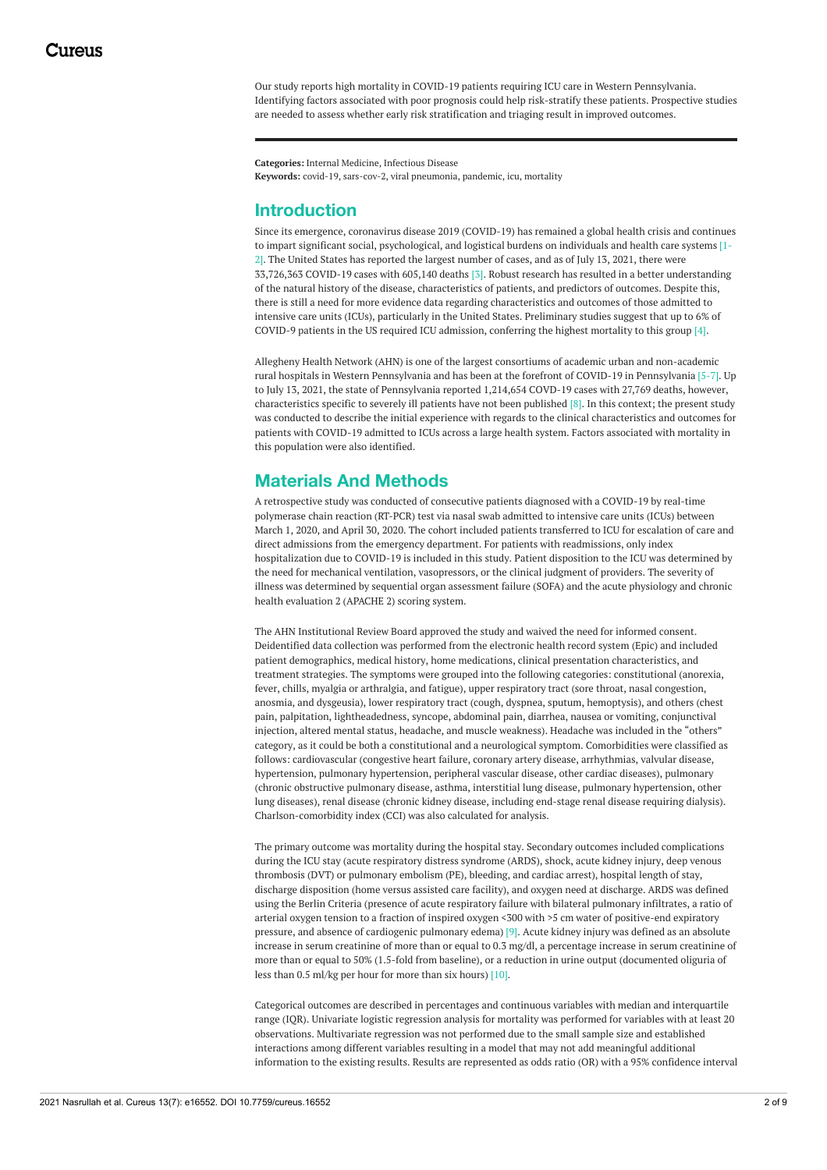Our study reports high mortality in COVID-19 patients requiring ICU care in Western Pennsylvania. Identifying factors associated with poor prognosis could help risk-stratify these patients. Prospective studies are needed to assess whether early risk stratification and triaging result in improved outcomes.

**Categories:** Internal Medicine, Infectious Disease **Keywords:** covid-19, sars-cov-2, viral pneumonia, pandemic, icu, mortality

## **Introduction**

Since its emergence, coronavirus disease 2019 (COVID-19) has remained a global health crisis and continues to impart significant social, psychological, and logistical burdens on individuals and health care systems [1- 2]. The United States has reported the largest number of cases, and as of July 13, 2021, there were 33,726,363 COVID-19 cases with 605,140 deaths [3]. Robust research has resulted in a better understanding of the natural history of the disease, characteristics of patients, and predictors of outcomes. Despite this, there is still a need for more evidence data regarding characteristics and outcomes of those admitted to intensive care units (ICUs), particularly in the United States. Preliminary studies suggest that up to 6% of COVID-9 patients in the US required ICU admission, conferring the highest mortality to this group [4].

Allegheny Health Network (AHN) is one of the largest consortiums of academic urban and non-academic rural hospitals in Western Pennsylvania and has been at the forefront of COVID-19 in Pennsylvania [5-7]. Up to July 13, 2021, the state of Pennsylvania reported 1,214,654 COVD-19 cases with 27,769 deaths, however, characteristics specific to severely ill patients have not been published [8]. In this context; the present study was conducted to describe the initial experience with regards to the clinical characteristics and outcomes for patients with COVID-19 admitted to ICUs across a large health system. Factors associated with mortality in this population were also identified.

## **Materials And Methods**

A retrospective study was conducted of consecutive patients diagnosed with a COVID-19 by real-time polymerase chain reaction (RT-PCR) test via nasal swab admitted to intensive care units (ICUs) between March 1, 2020, and April 30, 2020. The cohort included patients transferred to ICU for escalation of care and direct admissions from the emergency department. For patients with readmissions, only index hospitalization due to COVID-19 is included in this study. Patient disposition to the ICU was determined by the need for mechanical ventilation, vasopressors, or the clinical judgment of providers. The severity of illness was determined by sequential organ assessment failure (SOFA) and the acute physiology and chronic health evaluation 2 (APACHE 2) scoring system.

The AHN Institutional Review Board approved the study and waived the need for informed consent. Deidentified data collection was performed from the electronic health record system (Epic) and included patient demographics, medical history, home medications, clinical presentation characteristics, and treatment strategies. The symptoms were grouped into the following categories: constitutional (anorexia, fever, chills, myalgia or arthralgia, and fatigue), upper respiratory tract (sore throat, nasal congestion, anosmia, and dysgeusia), lower respiratory tract (cough, dyspnea, sputum, hemoptysis), and others (chest pain, palpitation, lightheadedness, syncope, abdominal pain, diarrhea, nausea or vomiting, conjunctival injection, altered mental status, headache, and muscle weakness). Headache was included in the "others" category, as it could be both a constitutional and a neurological symptom. Comorbidities were classified as follows: cardiovascular (congestive heart failure, coronary artery disease, arrhythmias, valvular disease, hypertension, pulmonary hypertension, peripheral vascular disease, other cardiac diseases), pulmonary (chronic obstructive pulmonary disease, asthma, interstitial lung disease, pulmonary hypertension, other lung diseases), renal disease (chronic kidney disease, including end-stage renal disease requiring dialysis). Charlson-comorbidity index (CCI) was also calculated for analysis.

The primary outcome was mortality during the hospital stay. Secondary outcomes included complications during the ICU stay (acute respiratory distress syndrome (ARDS), shock, acute kidney injury, deep venous thrombosis (DVT) or pulmonary embolism (PE), bleeding, and cardiac arrest), hospital length of stay, discharge disposition (home versus assisted care facility), and oxygen need at discharge. ARDS was defined using the Berlin Criteria (presence of acute respiratory failure with bilateral pulmonary infiltrates, a ratio of arterial oxygen tension to a fraction of inspired oxygen <300 with >5 cm water of positive-end expiratory pressure, and absence of cardiogenic pulmonary edema) [9]. Acute kidney injury was defined as an absolute increase in serum creatinine of more than or equal to 0.3 mg/dl, a percentage increase in serum creatinine of more than or equal to 50% (1.5-fold from baseline), or a reduction in urine output (documented oliguria of less than 0.5 ml/kg per hour for more than six hours) [10].

Categorical outcomes are described in percentages and continuous variables with median and interquartile range (IQR). Univariate logistic regression analysis for mortality was performed for variables with at least 20 observations. Multivariate regression was not performed due to the small sample size and established interactions among different variables resulting in a model that may not add meaningful additional information to the existing results. Results are represented as odds ratio (OR) with a 95% confidence interval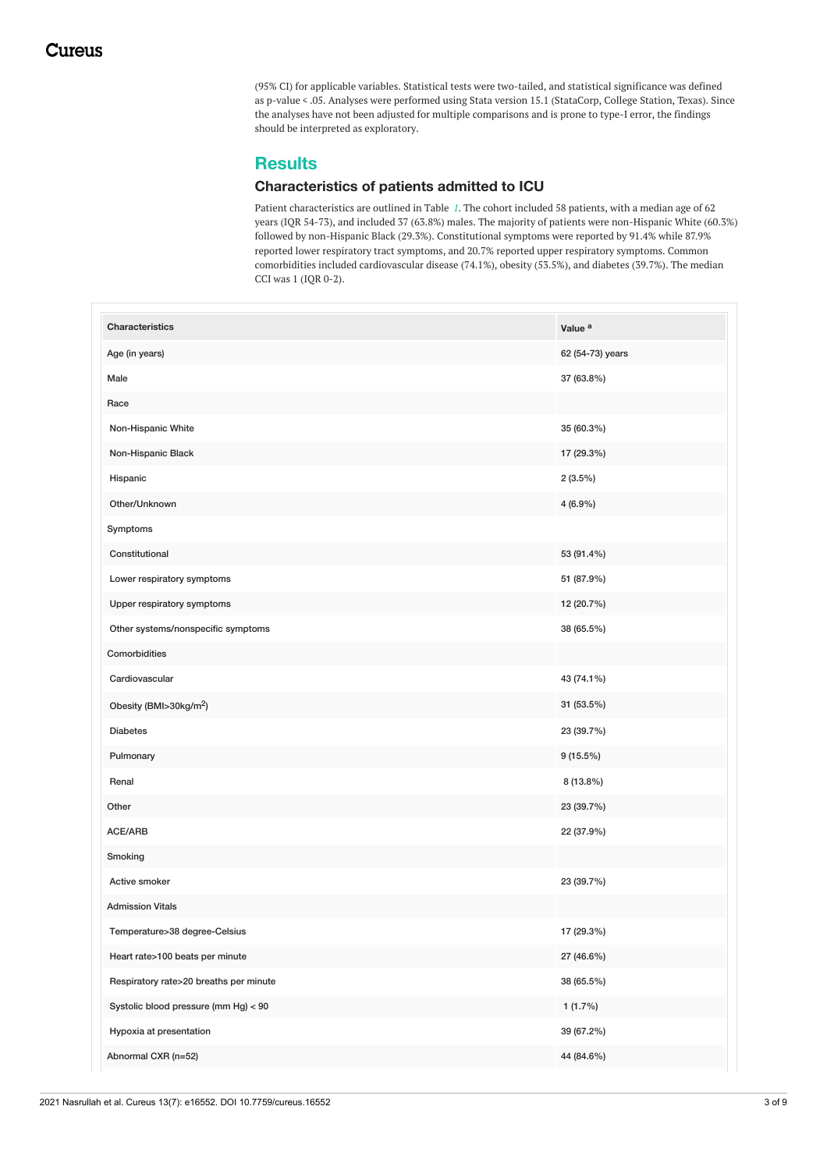(95% CI) for applicable variables. Statistical tests were two-tailed, and statistical significance was defined as p-value < .05. Analyses were performed using Stata version 15.1 (StataCorp, College Station, Texas). Since the analyses have not been adjusted for multiple comparisons and is prone to type-I error, the findings should be interpreted as exploratory.

## **Results**

## **Characteristics of patients admitted to ICU**

Patient characteristics are outlined in Table *[1](#page-3-0)*. The cohort included 58 patients, with a median age of 62 years (IQR 54-73), and included 37 (63.8%) males. The majority of patients were non-Hispanic White (60.3%) followed by non-Hispanic Black (29.3%). Constitutional symptoms were reported by 91.4% while 87.9% reported lower respiratory tract symptoms, and 20.7% reported upper respiratory symptoms. Common comorbidities included cardiovascular disease (74.1%), obesity (53.5%), and diabetes (39.7%). The median CCI was 1 (IQR 0-2).

| Characteristics                        | Value <sup>a</sup> |
|----------------------------------------|--------------------|
| Age (in years)                         | 62 (54-73) years   |
| Male                                   | 37 (63.8%)         |
| Race                                   |                    |
| Non-Hispanic White                     | 35 (60.3%)         |
| Non-Hispanic Black                     | 17 (29.3%)         |
| Hispanic                               | $2(3.5\%)$         |
| Other/Unknown                          | $4(6.9\%)$         |
| Symptoms                               |                    |
| Constitutional                         | 53 (91.4%)         |
| Lower respiratory symptoms             | 51 (87.9%)         |
| Upper respiratory symptoms             | 12 (20.7%)         |
| Other systems/nonspecific symptoms     | 38 (65.5%)         |
| Comorbidities                          |                    |
| Cardiovascular                         | 43 (74.1%)         |
| Obesity (BMI>30kg/m <sup>2</sup> )     | 31 (53.5%)         |
| <b>Diabetes</b>                        | 23 (39.7%)         |
| Pulmonary                              | $9(15.5\%)$        |
| Renal                                  | 8 (13.8%)          |
| Other                                  | 23 (39.7%)         |
| ACE/ARB                                | 22 (37.9%)         |
| Smoking                                |                    |
| Active smoker                          | 23 (39.7%)         |
| <b>Admission Vitals</b>                |                    |
| Temperature>38 degree-Celsius          | 17 (29.3%)         |
| Heart rate>100 beats per minute        | 27 (46.6%)         |
| Respiratory rate>20 breaths per minute | 38 (65.5%)         |
| Systolic blood pressure (mm Hg) < 90   | $1(1.7\%)$         |
| Hypoxia at presentation                | 39 (67.2%)         |
| Abnormal CXR (n=52)                    | 44 (84.6%)         |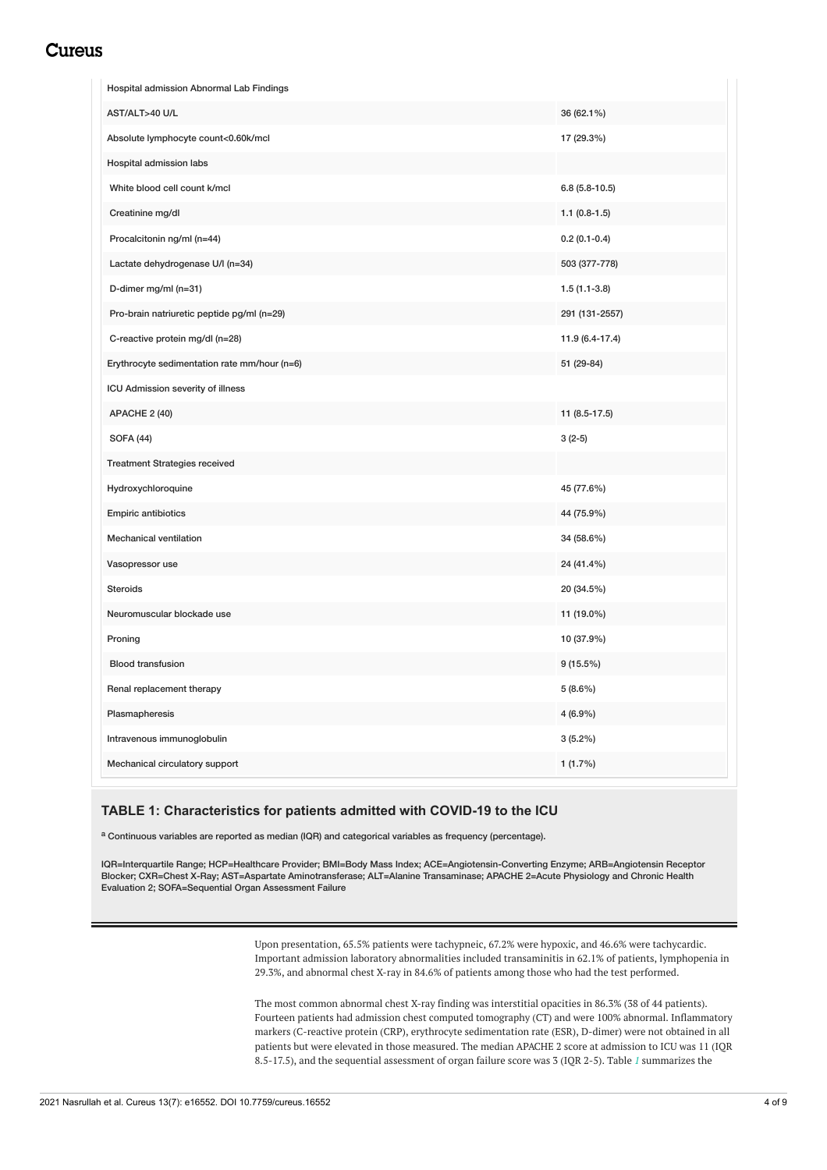## <span id="page-3-0"></span>Cureus

| AST/ALT>40 U/L<br>36 (62.1%)<br>Absolute lymphocyte count<0.60k/mcl<br>17 (29.3%)<br>Hospital admission labs<br>White blood cell count k/mcl<br>$6.8(5.8-10.5)$<br>Creatinine mg/dl<br>$1.1(0.8-1.5)$<br>Procalcitonin ng/ml (n=44)<br>$0.2(0.1-0.4)$<br>Lactate dehydrogenase U/I (n=34)<br>503 (377-778)<br>D-dimer mg/ml (n=31)<br>$1.5(1.1-3.8)$<br>Pro-brain natriuretic peptide pg/ml (n=29)<br>291 (131-2557)<br>C-reactive protein mg/dl (n=28)<br>11.9 (6.4-17.4)<br>Erythrocyte sedimentation rate mm/hour (n=6)<br>51 (29-84)<br>ICU Admission severity of illness<br>11 (8.5-17.5)<br>APACHE 2 (40)<br><b>SOFA (44)</b><br>$3(2-5)$<br><b>Treatment Strategies received</b><br>Hydroxychloroquine<br>45 (77.6%) |
|-----------------------------------------------------------------------------------------------------------------------------------------------------------------------------------------------------------------------------------------------------------------------------------------------------------------------------------------------------------------------------------------------------------------------------------------------------------------------------------------------------------------------------------------------------------------------------------------------------------------------------------------------------------------------------------------------------------------------------|
|                                                                                                                                                                                                                                                                                                                                                                                                                                                                                                                                                                                                                                                                                                                             |
|                                                                                                                                                                                                                                                                                                                                                                                                                                                                                                                                                                                                                                                                                                                             |
|                                                                                                                                                                                                                                                                                                                                                                                                                                                                                                                                                                                                                                                                                                                             |
|                                                                                                                                                                                                                                                                                                                                                                                                                                                                                                                                                                                                                                                                                                                             |
|                                                                                                                                                                                                                                                                                                                                                                                                                                                                                                                                                                                                                                                                                                                             |
|                                                                                                                                                                                                                                                                                                                                                                                                                                                                                                                                                                                                                                                                                                                             |
|                                                                                                                                                                                                                                                                                                                                                                                                                                                                                                                                                                                                                                                                                                                             |
|                                                                                                                                                                                                                                                                                                                                                                                                                                                                                                                                                                                                                                                                                                                             |
|                                                                                                                                                                                                                                                                                                                                                                                                                                                                                                                                                                                                                                                                                                                             |
|                                                                                                                                                                                                                                                                                                                                                                                                                                                                                                                                                                                                                                                                                                                             |
|                                                                                                                                                                                                                                                                                                                                                                                                                                                                                                                                                                                                                                                                                                                             |
|                                                                                                                                                                                                                                                                                                                                                                                                                                                                                                                                                                                                                                                                                                                             |
|                                                                                                                                                                                                                                                                                                                                                                                                                                                                                                                                                                                                                                                                                                                             |
|                                                                                                                                                                                                                                                                                                                                                                                                                                                                                                                                                                                                                                                                                                                             |
|                                                                                                                                                                                                                                                                                                                                                                                                                                                                                                                                                                                                                                                                                                                             |
|                                                                                                                                                                                                                                                                                                                                                                                                                                                                                                                                                                                                                                                                                                                             |
| <b>Empiric antibiotics</b><br>44 (75.9%)                                                                                                                                                                                                                                                                                                                                                                                                                                                                                                                                                                                                                                                                                    |
| Mechanical ventilation<br>34 (58.6%)                                                                                                                                                                                                                                                                                                                                                                                                                                                                                                                                                                                                                                                                                        |
| 24 (41.4%)<br>Vasopressor use                                                                                                                                                                                                                                                                                                                                                                                                                                                                                                                                                                                                                                                                                               |
| <b>Steroids</b><br>20 (34.5%)                                                                                                                                                                                                                                                                                                                                                                                                                                                                                                                                                                                                                                                                                               |
| Neuromuscular blockade use<br>11 (19.0%)                                                                                                                                                                                                                                                                                                                                                                                                                                                                                                                                                                                                                                                                                    |
| 10 (37.9%)<br>Proning                                                                                                                                                                                                                                                                                                                                                                                                                                                                                                                                                                                                                                                                                                       |
| <b>Blood transfusion</b><br>$9(15.5\%)$                                                                                                                                                                                                                                                                                                                                                                                                                                                                                                                                                                                                                                                                                     |
| Renal replacement therapy<br>$5(8.6\%)$                                                                                                                                                                                                                                                                                                                                                                                                                                                                                                                                                                                                                                                                                     |
| Plasmapheresis<br>4 (6.9%)                                                                                                                                                                                                                                                                                                                                                                                                                                                                                                                                                                                                                                                                                                  |
| $3(5.2\%)$<br>Intravenous immunoglobulin                                                                                                                                                                                                                                                                                                                                                                                                                                                                                                                                                                                                                                                                                    |
| Mechanical circulatory support<br>1(1.7%)                                                                                                                                                                                                                                                                                                                                                                                                                                                                                                                                                                                                                                                                                   |

## **TABLE 1: Characteristics for patients admitted with COVID-19 to the ICU**

a Continuous variables are reported as median (IQR) and categorical variables as frequency (percentage).

IQR=Interquartile Range; HCP=Healthcare Provider; BMI=Body Mass Index; ACE=Angiotensin-Converting Enzyme; ARB=Angiotensin Receptor Blocker; CXR=Chest X-Ray; AST=Aspartate Aminotransferase; ALT=Alanine Transaminase; APACHE 2=Acute Physiology and Chronic Health Evaluation 2; SOFA=Sequential Organ Assessment Failure

> Upon presentation, 65.5% patients were tachypneic, 67.2% were hypoxic, and 46.6% were tachycardic. Important admission laboratory abnormalities included transaminitis in 62.1% of patients, lymphopenia in 29.3%, and abnormal chest X-ray in 84.6% of patients among those who had the test performed.

> The most common abnormal chest X-ray finding was interstitial opacities in 86.3% (38 of 44 patients). Fourteen patients had admission chest computed tomography (CT) and were 100% abnormal. Inflammatory markers (C-reactive protein (CRP), erythrocyte sedimentation rate (ESR), D-dimer) were not obtained in all patients but were elevated in those measured. The median APACHE 2 score at admission to ICU was 11 (IQR 8.5-17.5), and the sequential assessment of organ failure score was 3 (IQR 2-5). Table *[1](#page-3-0)* summarizes the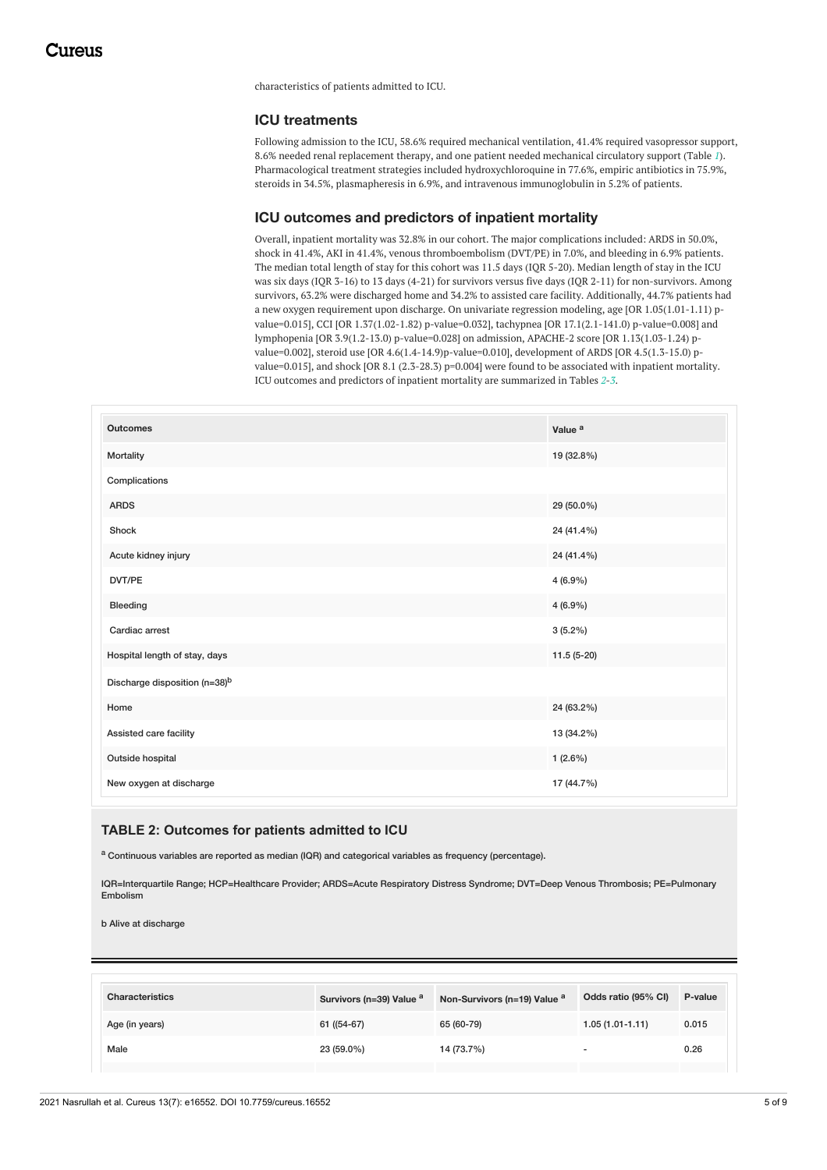characteristics of patients admitted to ICU.

## **ICU treatments**

Following admission to the ICU, 58.6% required mechanical ventilation, 41.4% required vasopressor support, 8.6% needed renal replacement therapy, and one patient needed mechanical circulatory support (Table *[1](#page-3-0)*). Pharmacological treatment strategies included hydroxychloroquine in 77.6%, empiric antibiotics in 75.9%, steroids in 34.5%, plasmapheresis in 6.9%, and intravenous immunoglobulin in 5.2% of patients.

## **ICU outcomes and predictors of inpatient mortality**

Overall, inpatient mortality was 32.8% in our cohort. The major complications included: ARDS in 50.0%, shock in 41.4%, AKI in 41.4%, venous thromboembolism (DVT/PE) in 7.0%, and bleeding in 6.9% patients. The median total length of stay for this cohort was 11.5 days (IQR 5-20). Median length of stay in the ICU was six days (IQR 3-16) to 13 days (4-21) for survivors versus five days (IQR 2-11) for non-survivors. Among survivors, 63.2% were discharged home and 34.2% to assisted care facility. Additionally, 44.7% patients had a new oxygen requirement upon discharge. On univariate regression modeling, age [OR 1.05(1.01-1.11) pvalue=0.015], CCI [OR 1.37(1.02-1.82) p-value=0.032], tachypnea [OR 17.1(2.1-141.0) p-value=0.008] and lymphopenia [OR 3.9(1.2-13.0) p-value=0.028] on admission, APACHE-2 score [OR 1.13(1.03-1.24) pvalue=0.002], steroid use [OR 4.6(1.4-14.9)p-value=0.010], development of ARDS [OR 4.5(1.3-15.0) pvalue=0.015], and shock [OR 8.1 (2.3-28.3) p=0.004] were found to be associated with inpatient mortality. ICU outcomes and predictors of inpatient mortality are summarized in Tables *[2](#page-4-0)*-*[3](#page-5-0)*.

<span id="page-4-0"></span>

| <b>Outcomes</b>                           | Value <sup>a</sup> |
|-------------------------------------------|--------------------|
| Mortality                                 | 19 (32.8%)         |
| Complications                             |                    |
| <b>ARDS</b>                               | 29 (50.0%)         |
| Shock                                     | 24 (41.4%)         |
| Acute kidney injury                       | 24 (41.4%)         |
| DVT/PE                                    | $4(6.9\%)$         |
| Bleeding                                  | $4(6.9\%)$         |
| Cardiac arrest                            | $3(5.2\%)$         |
| Hospital length of stay, days             | $11.5(5-20)$       |
| Discharge disposition (n=38) <sup>b</sup> |                    |
| Home                                      | 24 (63.2%)         |
| Assisted care facility                    | 13 (34.2%)         |
| Outside hospital                          | $1(2.6\%)$         |
| New oxygen at discharge                   | 17 (44.7%)         |

## **TABLE 2: Outcomes for patients admitted to ICU**

<sup>a</sup> Continuous variables are reported as median (IQR) and categorical variables as frequency (percentage).

IQR=Interquartile Range; HCP=Healthcare Provider; ARDS=Acute Respiratory Distress Syndrome; DVT=Deep Venous Thrombosis; PE=Pulmonary Embolism

b Alive at discharge

| <b>Characteristics</b> | Survivors (n=39) Value <sup>a</sup> | Non-Survivors (n=19) Value <sup>a</sup> | Odds ratio (95% CI) | P-value |
|------------------------|-------------------------------------|-----------------------------------------|---------------------|---------|
| Age (in years)         | 61 ((54-67)                         | 65 (60-79)                              | $1.05(1.01 - 1.11)$ | 0.015   |
| Male                   | 23 (59.0%)                          | 14 (73.7%)                              | -                   | 0.26    |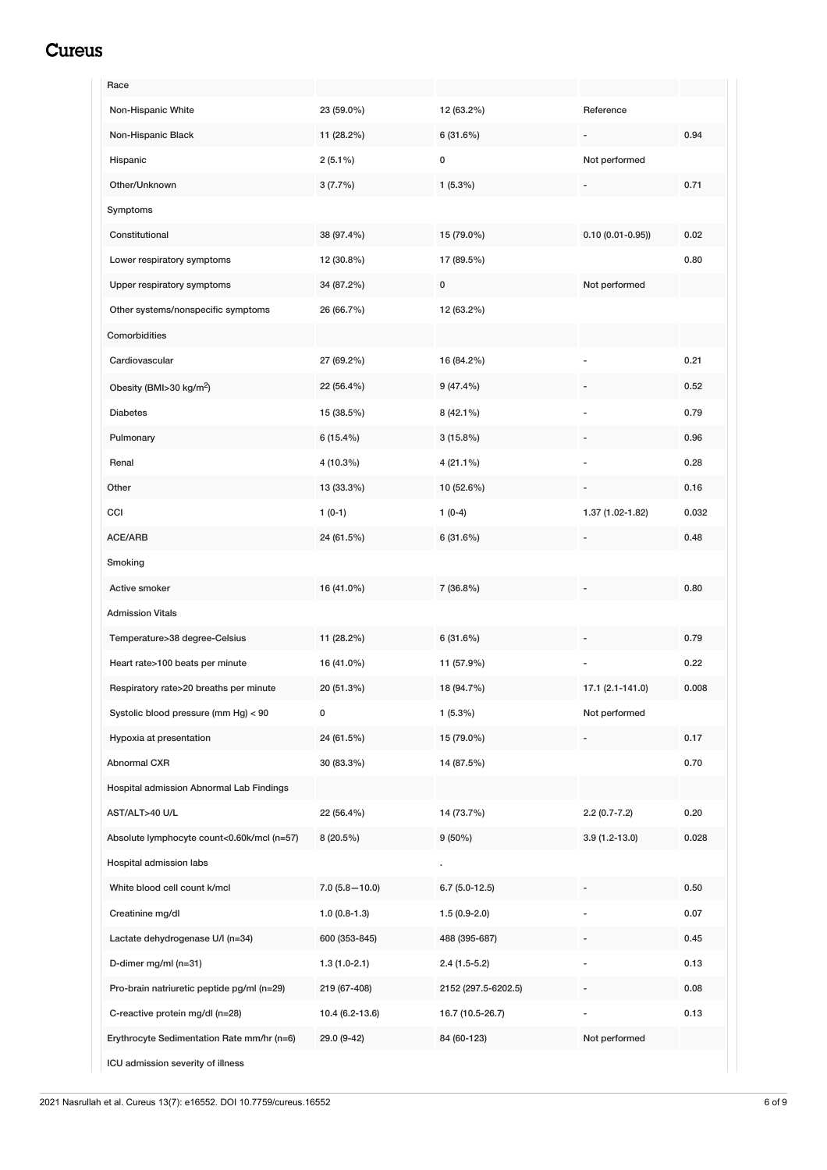## <span id="page-5-0"></span>Cureus

| Race                                       |                   |                     |                     |       |
|--------------------------------------------|-------------------|---------------------|---------------------|-------|
| Non-Hispanic White                         | 23 (59.0%)        | 12 (63.2%)          | Reference           |       |
| Non-Hispanic Black                         | 11 (28.2%)        | 6(31.6%)            |                     | 0.94  |
| Hispanic                                   | $2(5.1\%)$        | $\pmb{0}$           | Not performed       |       |
| Other/Unknown                              | 3(7.7%)           | $1(5.3\%)$          |                     | 0.71  |
| Symptoms                                   |                   |                     |                     |       |
| Constitutional                             | 38 (97.4%)        | 15 (79.0%)          | $0.10(0.01 - 0.95)$ | 0.02  |
| Lower respiratory symptoms                 | 12 (30.8%)        | 17 (89.5%)          |                     | 0.80  |
| Upper respiratory symptoms                 | 34 (87.2%)        | $\mathsf 0$         | Not performed       |       |
| Other systems/nonspecific symptoms         | 26 (66.7%)        | 12 (63.2%)          |                     |       |
| Comorbidities                              |                   |                     |                     |       |
| Cardiovascular                             | 27 (69.2%)        | 16 (84.2%)          |                     | 0.21  |
| Obesity (BMI>30 kg/m <sup>2</sup> )        | 22 (56.4%)        | $9(47.4\%)$         |                     | 0.52  |
| <b>Diabetes</b>                            | 15 (38.5%)        | 8 (42.1%)           |                     | 0.79  |
| Pulmonary                                  | $6(15.4\%)$       | 3(15.8%)            |                     | 0.96  |
| Renal                                      | 4 (10.3%)         | $4(21.1\%)$         |                     | 0.28  |
| Other                                      | 13 (33.3%)        | 10 (52.6%)          |                     | 0.16  |
| CCI                                        | $1(0-1)$          | $1(0-4)$            | 1.37 (1.02-1.82)    | 0.032 |
| ACE/ARB                                    | 24 (61.5%)        | 6(31.6%)            |                     | 0.48  |
| Smoking                                    |                   |                     |                     |       |
| Active smoker                              | 16 (41.0%)        | 7 (36.8%)           |                     | 0.80  |
| <b>Admission Vitals</b>                    |                   |                     |                     |       |
| Temperature>38 degree-Celsius              | 11 (28.2%)        | 6(31.6%)            |                     | 0.79  |
| Heart rate>100 beats per minute            | 16 (41.0%)        | 11 (57.9%)          |                     | 0.22  |
| Respiratory rate>20 breaths per minute     | 20 (51.3%)        | 18 (94.7%)          | 17.1 (2.1-141.0)    | 0.008 |
| Systolic blood pressure (mm Hg) < 90       | 0                 | $1(5.3\%)$          | Not performed       |       |
| Hypoxia at presentation                    | 24 (61.5%)        | 15 (79.0%)          |                     | 0.17  |
| Abnormal CXR                               | 30 (83.3%)        | 14 (87.5%)          |                     | 0.70  |
| Hospital admission Abnormal Lab Findings   |                   |                     |                     |       |
| AST/ALT>40 U/L                             | 22 (56.4%)        | 14 (73.7%)          | $2.2(0.7 - 7.2)$    | 0.20  |
| Absolute lymphocyte count<0.60k/mcl (n=57) | 8 (20.5%)         | $9(50\%)$           | $3.9(1.2-13.0)$     | 0.028 |
| Hospital admission labs                    |                   |                     |                     |       |
| White blood cell count k/mcl               | $7.0(5.8 - 10.0)$ | $6.7(5.0-12.5)$     |                     | 0.50  |
| Creatinine mg/dl                           | $1.0(0.8-1.3)$    | $1.5(0.9-2.0)$      |                     | 0.07  |
| Lactate dehydrogenase U/I (n=34)           | 600 (353-845)     | 488 (395-687)       |                     | 0.45  |
| D-dimer mg/ml (n=31)                       | $1.3(1.0-2.1)$    | $2.4(1.5-5.2)$      |                     | 0.13  |
| Pro-brain natriuretic peptide pg/ml (n=29) | 219 (67-408)      | 2152 (297.5-6202.5) |                     | 0.08  |
| C-reactive protein mg/dl (n=28)            | 10.4 (6.2-13.6)   | 16.7 (10.5-26.7)    |                     | 0.13  |
| Erythrocyte Sedimentation Rate mm/hr (n=6) | 29.0 (9-42)       | 84 (60-123)         | Not performed       |       |
| ICU admission severity of illness          |                   |                     |                     |       |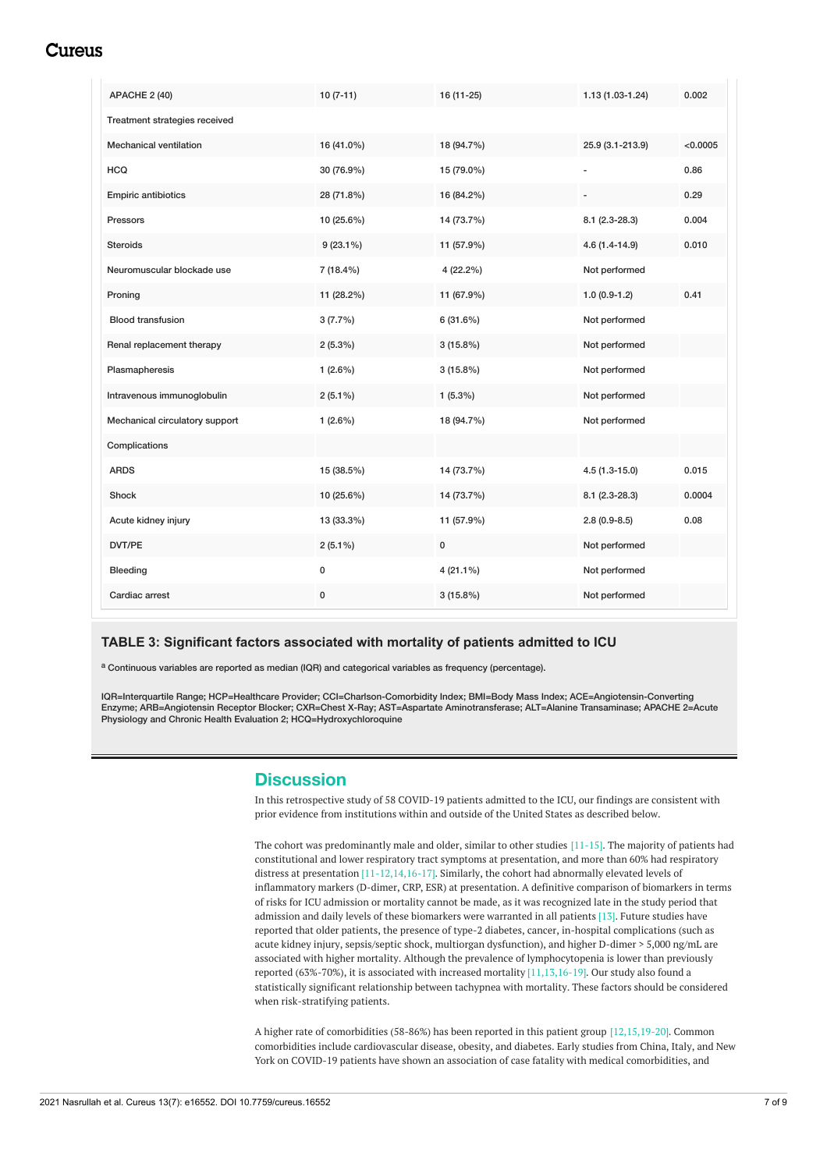## Cureus

| APACHE 2 (40)                  | $10(7-11)$  | 16 (11-25)  | $1.13(1.03-1.24)$ | 0.002    |
|--------------------------------|-------------|-------------|-------------------|----------|
| Treatment strategies received  |             |             |                   |          |
| <b>Mechanical ventilation</b>  | 16 (41.0%)  | 18 (94.7%)  | 25.9 (3.1-213.9)  | < 0.0005 |
| <b>HCQ</b>                     | 30 (76.9%)  | 15 (79.0%)  |                   | 0.86     |
| <b>Empiric antibiotics</b>     | 28 (71.8%)  | 16 (84.2%)  |                   | 0.29     |
| Pressors                       | 10 (25.6%)  | 14 (73.7%)  | $8.1(2.3-28.3)$   | 0.004    |
| <b>Steroids</b>                | $9(23.1\%)$ | 11 (57.9%)  | $4.6(1.4-14.9)$   | 0.010    |
| Neuromuscular blockade use     | $7(18.4\%)$ | 4 (22.2%)   | Not performed     |          |
| Proning                        | 11 (28.2%)  | 11 (67.9%)  | $1.0(0.9-1.2)$    | 0.41     |
| <b>Blood transfusion</b>       | 3(7.7%)     | 6(31.6%)    | Not performed     |          |
| Renal replacement therapy      | $2(5.3\%)$  | $3(15.8\%)$ | Not performed     |          |
| Plasmapheresis                 | $1(2.6\%)$  | $3(15.8\%)$ | Not performed     |          |
| Intravenous immunoglobulin     | $2(5.1\%)$  | $1(5.3\%)$  | Not performed     |          |
| Mechanical circulatory support | $1(2.6\%)$  | 18 (94.7%)  | Not performed     |          |
| Complications                  |             |             |                   |          |
| <b>ARDS</b>                    | 15 (38.5%)  | 14 (73.7%)  | $4.5(1.3 - 15.0)$ | 0.015    |
| Shock                          | 10 (25.6%)  | 14 (73.7%)  | $8.1(2.3-28.3)$   | 0.0004   |
| Acute kidney injury            | 13 (33.3%)  | 11 (57.9%)  | $2.8(0.9-8.5)$    | 0.08     |
| DVT/PE                         | $2(5.1\%)$  | $\pmb{0}$   | Not performed     |          |
| Bleeding                       | 0           | $4(21.1\%)$ | Not performed     |          |
| Cardiac arrest                 | 0           | $3(15.8\%)$ | Not performed     |          |

## **TABLE 3: Significant factors associated with mortality of patients admitted to ICU**

a Continuous variables are reported as median (IQR) and categorical variables as frequency (percentage).

IQR=Interquartile Range; HCP=Healthcare Provider; CCI=Charlson-Comorbidity Index; BMI=Body Mass Index; ACE=Angiotensin-Converting Enzyme; ARB=Angiotensin Receptor Blocker; CXR=Chest X-Ray; AST=Aspartate Aminotransferase; ALT=Alanine Transaminase; APACHE 2=Acute Physiology and Chronic Health Evaluation 2; HCQ=Hydroxychloroquine

## **Discussion**

In this retrospective study of 58 COVID-19 patients admitted to the ICU, our findings are consistent with prior evidence from institutions within and outside of the United States as described below.

The cohort was predominantly male and older, similar to other studies [11-15]. The majority of patients had constitutional and lower respiratory tract symptoms at presentation, and more than 60% had respiratory distress at presentation [11-12,14,16-17]. Similarly, the cohort had abnormally elevated levels of inflammatory markers (D-dimer, CRP, ESR) at presentation. A definitive comparison of biomarkers in terms of risks for ICU admission or mortality cannot be made, as it was recognized late in the study period that admission and daily levels of these biomarkers were warranted in all patients [13]. Future studies have reported that older patients, the presence of type-2 diabetes, cancer, in-hospital complications (such as acute kidney injury, sepsis/septic shock, multiorgan dysfunction), and higher D-dimer > 5,000 ng/mL are associated with higher mortality. Although the prevalence of lymphocytopenia is lower than previously reported (63%-70%), it is associated with increased mortality [11,13,16-19]. Our study also found a statistically significant relationship between tachypnea with mortality. These factors should be considered when risk-stratifying patients.

A higher rate of comorbidities (58-86%) has been reported in this patient group [12,15,19-20]. Common comorbidities include cardiovascular disease, obesity, and diabetes. Early studies from China, Italy, and New York on COVID-19 patients have shown an association of case fatality with medical comorbidities, and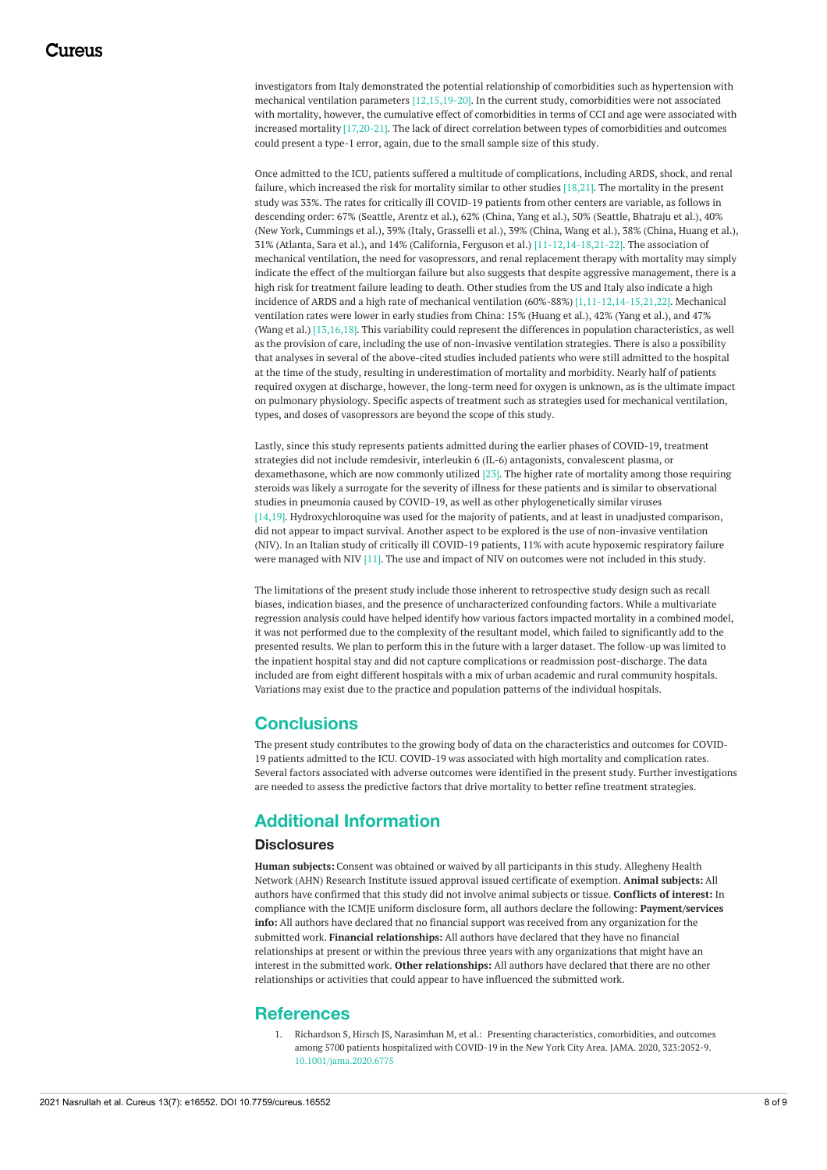investigators from Italy demonstrated the potential relationship of comorbidities such as hypertension with mechanical ventilation parameters [12,15,19-20]. In the current study, comorbidities were not associated with mortality, however, the cumulative effect of comorbidities in terms of CCI and age were associated with increased mortality [17,20-21]. The lack of direct correlation between types of comorbidities and outcomes could present a type-1 error, again, due to the small sample size of this study.

Once admitted to the ICU, patients suffered a multitude of complications, including ARDS, shock, and renal failure, which increased the risk for mortality similar to other studies [18,21]. The mortality in the present study was 33%. The rates for critically ill COVID-19 patients from other centers are variable, as follows in descending order: 67% (Seattle, Arentz et al.), 62% (China, Yang et al.), 50% (Seattle, Bhatraju et al.), 40% (New York, Cummings et al.), 39% (Italy, Grasselli et al.), 39% (China, Wang et al.), 38% (China, Huang et al.), 31% (Atlanta, Sara et al.), and 14% (California, Ferguson et al.) [11-12,14-18,21-22]. The association of mechanical ventilation, the need for vasopressors, and renal replacement therapy with mortality may simply indicate the effect of the multiorgan failure but also suggests that despite aggressive management, there is a high risk for treatment failure leading to death. Other studies from the US and Italy also indicate a high incidence of ARDS and a high rate of mechanical ventilation (60%-88%) [1,11-12,14-15,21,22]. Mechanical ventilation rates were lower in early studies from China: 15% (Huang et al.), 42% (Yang et al.), and 47% (Wang et al.) [13,16,18]. This variability could represent the differences in population characteristics, as well as the provision of care, including the use of non-invasive ventilation strategies. There is also a possibility that analyses in several of the above-cited studies included patients who were still admitted to the hospital at the time of the study, resulting in underestimation of mortality and morbidity. Nearly half of patients required oxygen at discharge, however, the long-term need for oxygen is unknown, as is the ultimate impact on pulmonary physiology. Specific aspects of treatment such as strategies used for mechanical ventilation, types, and doses of vasopressors are beyond the scope of this study.

Lastly, since this study represents patients admitted during the earlier phases of COVID-19, treatment strategies did not include remdesivir, interleukin 6 (IL-6) antagonists, convalescent plasma, or dexamethasone, which are now commonly utilized [23]. The higher rate of mortality among those requiring steroids was likely a surrogate for the severity of illness for these patients and is similar to observational studies in pneumonia caused by COVID-19, as well as other phylogenetically similar viruses [14,19]. Hydroxychloroquine was used for the majority of patients, and at least in unadjusted comparison, did not appear to impact survival. Another aspect to be explored is the use of non-invasive ventilation (NIV). In an Italian study of critically ill COVID-19 patients, 11% with acute hypoxemic respiratory failure were managed with NIV [11]. The use and impact of NIV on outcomes were not included in this study.

The limitations of the present study include those inherent to retrospective study design such as recall biases, indication biases, and the presence of uncharacterized confounding factors. While a multivariate regression analysis could have helped identify how various factors impacted mortality in a combined model, it was not performed due to the complexity of the resultant model, which failed to significantly add to the presented results. We plan to perform this in the future with a larger dataset. The follow-up was limited to the inpatient hospital stay and did not capture complications or readmission post-discharge. The data included are from eight different hospitals with a mix of urban academic and rural community hospitals. Variations may exist due to the practice and population patterns of the individual hospitals.

## **Conclusions**

The present study contributes to the growing body of data on the characteristics and outcomes for COVID-19 patients admitted to the ICU. COVID-19 was associated with high mortality and complication rates. Several factors associated with adverse outcomes were identified in the present study. Further investigations are needed to assess the predictive factors that drive mortality to better refine treatment strategies.

## **Additional Information**

## **Disclosures**

**Human subjects:** Consent was obtained or waived by all participants in this study. Allegheny Health Network (AHN) Research Institute issued approval issued certificate of exemption. **Animal subjects:** All authors have confirmed that this study did not involve animal subjects or tissue. **Conflicts of interest:** In compliance with the ICMJE uniform disclosure form, all authors declare the following: **Payment/services info:** All authors have declared that no financial support was received from any organization for the submitted work. **Financial relationships:** All authors have declared that they have no financial relationships at present or within the previous three years with any organizations that might have an interest in the submitted work. **Other relationships:** All authors have declared that there are no other relationships or activities that could appear to have influenced the submitted work.

## **References**

1. Richardson S, Hirsch JS, Narasimhan M, et al.: Presenting [characteristics,](https://dx.doi.org/10.1001/jama.2020.6775) comorbidities, and outcomes among 5700 patients hospitalized with COVID-19 in the New York City Area. JAMA. 2020, 323:2052-9. [10.1001/jama.2020.6775](https://dx.doi.org/10.1001/jama.2020.6775)